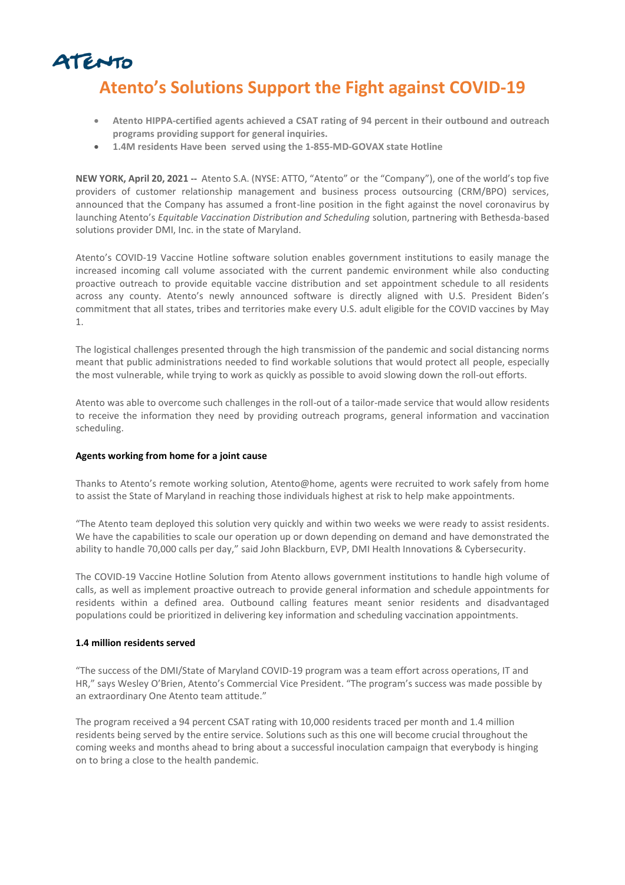

# **Atento's Solutions Support the Fight against COVID-19**

- **Atento HIPPA-certified agents achieved a CSAT rating of 94 percent in their outbound and outreach programs providing support for general inquiries.**
- **1.4M residents Have been served using the 1-855-MD-GOVAX state Hotline**

**NEW YORK, April 20, 2021** -- Atento S.A. (NYSE: ATTO, "Atento" or the "Company"), one of the world's top five providers of customer relationship management and business process outsourcing (CRM/BPO) services, announced that the Company has assumed a front-line position in the fight against the novel coronavirus by launching Atento's *Equitable Vaccination Distribution and Scheduling* solution, partnering with Bethesda-based solutions provider DMI, Inc. in the state of Maryland.

Atento's COVID-19 Vaccine Hotline software solution enables government institutions to easily manage the increased incoming call volume associated with the current pandemic environment while also conducting proactive outreach to provide equitable vaccine distribution and set appointment schedule to all residents across any county. Atento's newly announced software is directly aligned with U.S. President Biden's commitment that all states, tribes and territories make every U.S. adult eligible for the COVID vaccines by May 1.

The logistical challenges presented through the high transmission of the pandemic and social distancing norms meant that public administrations needed to find workable solutions that would protect all people, especially the most vulnerable, while trying to work as quickly as possible to avoid slowing down the roll-out efforts.

Atento was able to overcome such challenges in the roll-out of a tailor-made service that would allow residents to receive the information they need by providing outreach programs, general information and vaccination scheduling.

## **Agents working from home for a joint cause**

Thanks to Atento's remote working solution, Atento@home, agents were recruited to work safely from home to assist the State of Maryland in reaching those individuals highest at risk to help make appointments.

"The Atento team deployed this solution very quickly and within two weeks we were ready to assist residents. We have the capabilities to scale our operation up or down depending on demand and have demonstrated the ability to handle 70,000 calls per day," said John Blackburn, EVP, DMI Health Innovations & Cybersecurity.

The COVID-19 Vaccine Hotline Solution from Atento allows government institutions to handle high volume of calls, as well as implement proactive outreach to provide general information and schedule appointments for residents within a defined area. Outbound calling features meant senior residents and disadvantaged populations could be prioritized in delivering key information and scheduling vaccination appointments.

## **1.4 million residents served**

"The success of the DMI/State of Maryland COVID-19 program was a team effort across operations, IT and HR," says Wesley O'Brien, Atento's Commercial Vice President. "The program's success was made possible by an extraordinary One Atento team attitude."

The program received a 94 percent CSAT rating with 10,000 residents traced per month and 1.4 million residents being served by the entire service. Solutions such as this one will become crucial throughout the coming weeks and months ahead to bring about a successful inoculation campaign that everybody is hinging on to bring a close to the health pandemic.